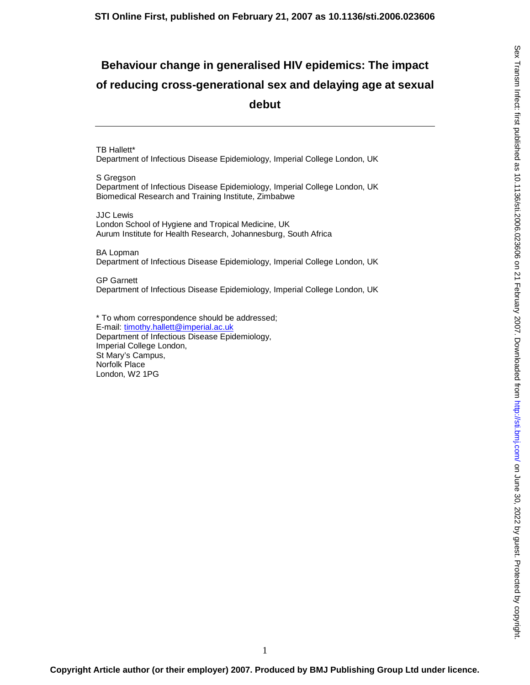# **Behaviour change in generalised HIV epidemics: The impact of reducing cross-generational sex and delaying age at sexual debut**

TB Hallett\* Department of Infectious Disease Epidemiology, Imperial College London, UK

S Gregson Department of Infectious Disease Epidemiology, Imperial College London, UK Biomedical Research and Training Institute, Zimbabwe

JJC Lewis London School of Hygiene and Tropical Medicine, UK Aurum Institute for Health Research, Johannesburg, South Africa

BA Lopman Department of Infectious Disease Epidemiology, Imperial College London, UK

GP Garnett Department of Infectious Disease Epidemiology, Imperial College London, UK

\* To whom correspondence should be addressed; E-mail: timothy.hallett@imperial.ac.uk Department of Infectious Disease Epidemiology, Imperial College London, St Mary's Campus, Norfolk Place London, W2 1PG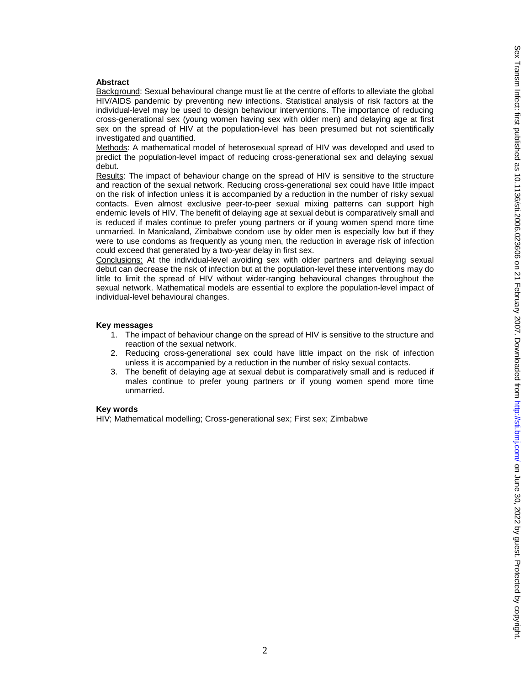# **Abstract**

Background: Sexual behavioural change must lie at the centre of efforts to alleviate the global HIV/AIDS pandemic by preventing new infections. Statistical analysis of risk factors at the individual-level may be used to design behaviour interventions. The importance of reducing cross-generational sex (young women having sex with older men) and delaying age at first sex on the spread of HIV at the population-level has been presumed but not scientifically investigated and quantified.

Methods: A mathematical model of heterosexual spread of HIV was developed and used to predict the population-level impact of reducing cross-generational sex and delaying sexual debut.

Results: The impact of behaviour change on the spread of HIV is sensitive to the structure and reaction of the sexual network. Reducing cross-generational sex could have little impact on the risk of infection unless it is accompanied by a reduction in the number of risky sexual contacts. Even almost exclusive peer-to-peer sexual mixing patterns can support high endemic levels of HIV. The benefit of delaying age at sexual debut is comparatively small and is reduced if males continue to prefer young partners or if young women spend more time unmarried. In Manicaland, Zimbabwe condom use by older men is especially low but if they were to use condoms as frequently as young men, the reduction in average risk of infection could exceed that generated by a two-year delay in first sex.

Conclusions: At the individual-level avoiding sex with older partners and delaying sexual debut can decrease the risk of infection but at the population-level these interventions may do little to limit the spread of HIV without wider-ranging behavioural changes throughout the sexual network. Mathematical models are essential to explore the population-level impact of individual-level behavioural changes.

# **Key messages**

- 1. The impact of behaviour change on the spread of HIV is sensitive to the structure and reaction of the sexual network.
- 2. Reducing cross-generational sex could have little impact on the risk of infection unless it is accompanied by a reduction in the number of risky sexual contacts.
- 3. The benefit of delaying age at sexual debut is comparatively small and is reduced if males continue to prefer young partners or if young women spend more time unmarried.

# **Key words**

HIV; Mathematical modelling; Cross-generational sex; First sex; Zimbabwe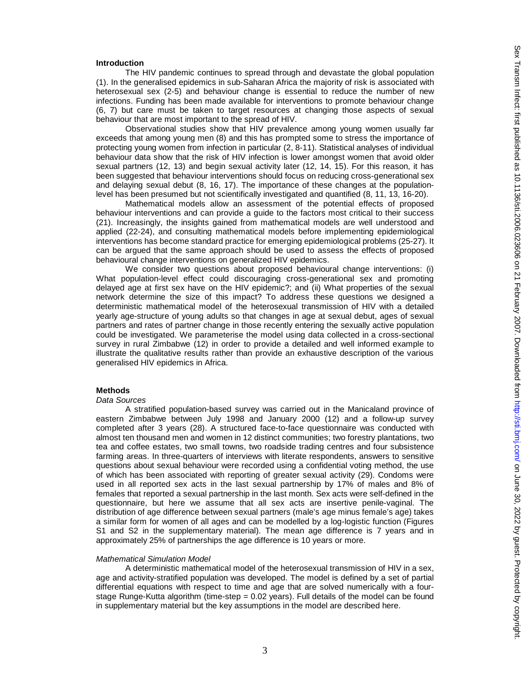### **Introduction**

The HIV pandemic continues to spread through and devastate the global population (1). In the generalised epidemics in sub-Saharan Africa the majority of risk is associated with heterosexual sex (2-5) and behaviour change is essential to reduce the number of new infections. Funding has been made available for interventions to promote behaviour change (6, 7) but care must be taken to target resources at changing those aspects of sexual behaviour that are most important to the spread of HIV.

Observational studies show that HIV prevalence among young women usually far exceeds that among young men (8) and this has prompted some to stress the importance of protecting young women from infection in particular (2, 8-11). Statistical analyses of individual behaviour data show that the risk of HIV infection is lower amongst women that avoid older sexual partners (12, 13) and begin sexual activity later (12, 14, 15). For this reason, it has been suggested that behaviour interventions should focus on reducing cross-generational sex and delaying sexual debut (8, 16, 17). The importance of these changes at the populationlevel has been presumed but not scientifically investigated and quantified (8, 11, 13, 16-20).

Mathematical models allow an assessment of the potential effects of proposed behaviour interventions and can provide a guide to the factors most critical to their success (21). Increasingly, the insights gained from mathematical models are well understood and applied (22-24), and consulting mathematical models before implementing epidemiological interventions has become standard practice for emerging epidemiological problems (25-27). It can be argued that the same approach should be used to assess the effects of proposed behavioural change interventions on generalized HIV epidemics.

We consider two questions about proposed behavioural change interventions: (i) What population-level effect could discouraging cross-generational sex and promoting delayed age at first sex have on the HIV epidemic?; and (ii) What properties of the sexual network determine the size of this impact? To address these questions we designed a deterministic mathematical model of the heterosexual transmission of HIV with a detailed yearly age-structure of young adults so that changes in age at sexual debut, ages of sexual partners and rates of partner change in those recently entering the sexually active population could be investigated. We parameterise the model using data collected in a cross-sectional survey in rural Zimbabwe (12) in order to provide a detailed and well informed example to illustrate the qualitative results rather than provide an exhaustive description of the various generalised HIV epidemics in Africa.

# **Methods**

#### *Data Sources*

 A stratified population-based survey was carried out in the Manicaland province of eastern Zimbabwe between July 1998 and January 2000 (12) and a follow-up survey completed after 3 years (28). A structured face-to-face questionnaire was conducted with almost ten thousand men and women in 12 distinct communities; two forestry plantations, two tea and coffee estates, two small towns, two roadside trading centres and four subsistence farming areas. In three-quarters of interviews with literate respondents, answers to sensitive questions about sexual behaviour were recorded using a confidential voting method, the use of which has been associated with reporting of greater sexual activity (29). Condoms were used in all reported sex acts in the last sexual partnership by 17% of males and 8% of females that reported a sexual partnership in the last month. Sex acts were self-defined in the questionnaire, but here we assume that all sex acts are insertive penile-vaginal. The distribution of age difference between sexual partners (male's age minus female's age) takes a similar form for women of all ages and can be modelled by a log-logistic function (Figures S1 and S2 in the supplementary material). The mean age difference is 7 years and in approximately 25% of partnerships the age difference is 10 years or more.

#### *Mathematical Simulation Model*

A deterministic mathematical model of the heterosexual transmission of HIV in a sex, age and activity-stratified population was developed. The model is defined by a set of partial differential equations with respect to time and age that are solved numerically with a fourstage Runge-Kutta algorithm (time-step = 0.02 years). Full details of the model can be found in supplementary material but the key assumptions in the model are described here.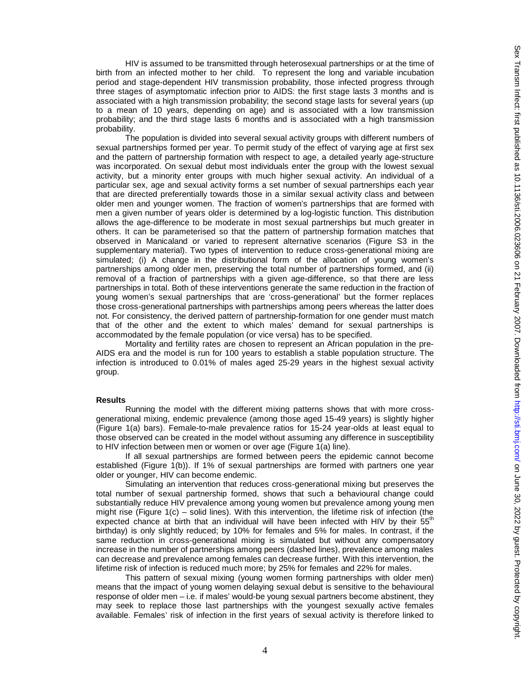HIV is assumed to be transmitted through heterosexual partnerships or at the time of birth from an infected mother to her child. To represent the long and variable incubation period and stage-dependent HIV transmission probability, those infected progress through three stages of asymptomatic infection prior to AIDS: the first stage lasts 3 months and is associated with a high transmission probability; the second stage lasts for several years (up to a mean of 10 years, depending on age) and is associated with a low transmission probability; and the third stage lasts 6 months and is associated with a high transmission probability.

The population is divided into several sexual activity groups with different numbers of sexual partnerships formed per year. To permit study of the effect of varying age at first sex and the pattern of partnership formation with respect to age, a detailed yearly age-structure was incorporated. On sexual debut most individuals enter the group with the lowest sexual activity, but a minority enter groups with much higher sexual activity. An individual of a particular sex, age and sexual activity forms a set number of sexual partnerships each year that are directed preferentially towards those in a similar sexual activity class and between older men and younger women. The fraction of women's partnerships that are formed with men a given number of years older is determined by a log-logistic function. This distribution allows the age-difference to be moderate in most sexual partnerships but much greater in others. It can be parameterised so that the pattern of partnership formation matches that observed in Manicaland or varied to represent alternative scenarios (Figure S3 in the supplementary material). Two types of intervention to reduce cross-generational mixing are simulated; (i) A change in the distributional form of the allocation of young women's partnerships among older men, preserving the total number of partnerships formed, and (ii) removal of a fraction of partnerships with a given age-difference, so that there are less partnerships in total. Both of these interventions generate the same reduction in the fraction of young women's sexual partnerships that are 'cross-generational' but the former replaces those cross-generational partnerships with partnerships among peers whereas the latter does not. For consistency, the derived pattern of partnership-formation for one gender must match that of the other and the extent to which males' demand for sexual partnerships is accommodated by the female population (or vice versa) has to be specified.

 Mortality and fertility rates are chosen to represent an African population in the pre-AIDS era and the model is run for 100 years to establish a stable population structure. The infection is introduced to 0.01% of males aged 25-29 years in the highest sexual activity group.

#### **Results**

Running the model with the different mixing patterns shows that with more crossgenerational mixing, endemic prevalence (among those aged 15-49 years) is slightly higher (Figure 1(a) bars). Female-to-male prevalence ratios for 15-24 year-olds at least equal to those observed can be created in the model without assuming any difference in susceptibility to HIV infection between men or women or over age (Figure 1(a) line).

If all sexual partnerships are formed between peers the epidemic cannot become established (Figure 1(b)). If 1% of sexual partnerships are formed with partners one year older or younger, HIV can become endemic.

Simulating an intervention that reduces cross-generational mixing but preserves the total number of sexual partnership formed, shows that such a behavioural change could substantially reduce HIV prevalence among young women but prevalence among young men might rise (Figure  $1(c)$  – solid lines). With this intervention, the lifetime risk of infection (the expected chance at birth that an individual will have been infected with HIV by their  $55<sup>th</sup>$ birthday) is only slightly reduced; by 10% for females and 5% for males. In contrast, if the same reduction in cross-generational mixing is simulated but without any compensatory increase in the number of partnerships among peers (dashed lines), prevalence among males can decrease and prevalence among females can decrease further. With this intervention, the lifetime risk of infection is reduced much more; by 25% for females and 22% for males.

This pattern of sexual mixing (young women forming partnerships with older men) means that the impact of young women delaying sexual debut is sensitive to the behavioural response of older men – i.e. if males' would-be young sexual partners become abstinent, they may seek to replace those last partnerships with the youngest sexually active females available. Females' risk of infection in the first years of sexual activity is therefore linked to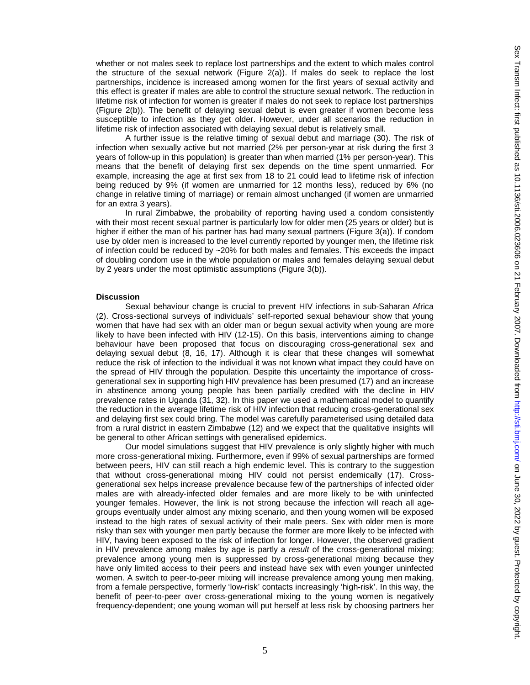whether or not males seek to replace lost partnerships and the extent to which males control the structure of the sexual network (Figure 2(a)). If males do seek to replace the lost partnerships, incidence is increased among women for the first years of sexual activity and this effect is greater if males are able to control the structure sexual network. The reduction in lifetime risk of infection for women is greater if males do not seek to replace lost partnerships (Figure 2(b)). The benefit of delaying sexual debut is even greater if women become less susceptible to infection as they get older. However, under all scenarios the reduction in lifetime risk of infection associated with delaying sexual debut is relatively small.

A further issue is the relative timing of sexual debut and marriage (30). The risk of infection when sexually active but not married (2% per person-year at risk during the first 3 years of follow-up in this population) is greater than when married (1% per person-year). This means that the benefit of delaying first sex depends on the time spent unmarried. For example, increasing the age at first sex from 18 to 21 could lead to lifetime risk of infection being reduced by 9% (if women are unmarried for 12 months less), reduced by 6% (no change in relative timing of marriage) or remain almost unchanged (if women are unmarried for an extra 3 years).

 In rural Zimbabwe, the probability of reporting having used a condom consistently with their most recent sexual partner is particularly low for older men (25 years or older) but is higher if either the man of his partner has had many sexual partners (Figure 3(a)). If condom use by older men is increased to the level currently reported by younger men, the lifetime risk of infection could be reduced by ~20% for both males and females. This exceeds the impact of doubling condom use in the whole population or males and females delaying sexual debut by 2 years under the most optimistic assumptions (Figure 3(b)).

## **Discussion**

Sexual behaviour change is crucial to prevent HIV infections in sub-Saharan Africa (2). Cross-sectional surveys of individuals' self-reported sexual behaviour show that young women that have had sex with an older man or begun sexual activity when young are more likely to have been infected with HIV (12-15). On this basis, interventions aiming to change behaviour have been proposed that focus on discouraging cross-generational sex and delaying sexual debut (8, 16, 17). Although it is clear that these changes will somewhat reduce the risk of infection to the individual it was not known what impact they could have on the spread of HIV through the population. Despite this uncertainty the importance of crossgenerational sex in supporting high HIV prevalence has been presumed (17) and an increase in abstinence among young people has been partially credited with the decline in HIV prevalence rates in Uganda (31, 32). In this paper we used a mathematical model to quantify the reduction in the average lifetime risk of HIV infection that reducing cross-generational sex and delaying first sex could bring. The model was carefully parameterised using detailed data from a rural district in eastern Zimbabwe (12) and we expect that the qualitative insights will be general to other African settings with generalised epidemics.

Our model simulations suggest that HIV prevalence is only slightly higher with much more cross-generational mixing. Furthermore, even if 99% of sexual partnerships are formed between peers, HIV can still reach a high endemic level. This is contrary to the suggestion that without cross-generational mixing HIV could not persist endemically (17). Crossgenerational sex helps increase prevalence because few of the partnerships of infected older males are with already-infected older females and are more likely to be with uninfected younger females. However, the link is not strong because the infection will reach all agegroups eventually under almost any mixing scenario, and then young women will be exposed instead to the high rates of sexual activity of their male peers. Sex with older men is more risky than sex with younger men partly because the former are more likely to be infected with HIV, having been exposed to the risk of infection for longer. However, the observed gradient in HIV prevalence among males by age is partly a *result* of the cross-generational mixing; prevalence among young men is suppressed by cross-generational mixing because they have only limited access to their peers and instead have sex with even younger uninfected women. A switch to peer-to-peer mixing will increase prevalence among young men making, from a female perspective, formerly 'low-risk' contacts increasingly 'high-risk'. In this way, the benefit of peer-to-peer over cross-generational mixing to the young women is negatively frequency-dependent; one young woman will put herself at less risk by choosing partners her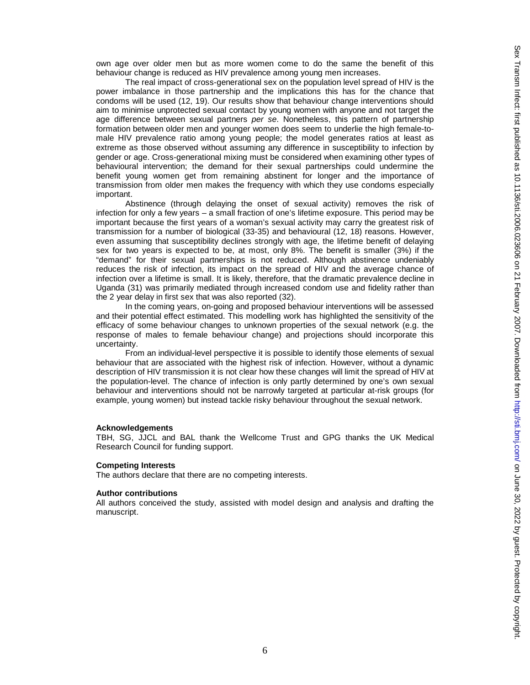own age over older men but as more women come to do the same the benefit of this behaviour change is reduced as HIV prevalence among young men increases.

The real impact of cross-generational sex on the population level spread of HIV is the power imbalance in those partnership and the implications this has for the chance that condoms will be used (12, 19). Our results show that behaviour change interventions should aim to minimise unprotected sexual contact by young women with anyone and not target the age difference between sexual partners *per se*. Nonetheless, this pattern of partnership formation between older men and younger women does seem to underlie the high female-tomale HIV prevalence ratio among young people; the model generates ratios at least as extreme as those observed without assuming any difference in susceptibility to infection by gender or age. Cross-generational mixing must be considered when examining other types of behavioural intervention; the demand for their sexual partnerships could undermine the benefit young women get from remaining abstinent for longer and the importance of transmission from older men makes the frequency with which they use condoms especially important.

Abstinence (through delaying the onset of sexual activity) removes the risk of infection for only a few years – a small fraction of one's lifetime exposure. This period may be important because the first years of a woman's sexual activity may carry the greatest risk of transmission for a number of biological (33-35) and behavioural (12, 18) reasons. However, even assuming that susceptibility declines strongly with age, the lifetime benefit of delaying sex for two years is expected to be, at most, only 8%. The benefit is smaller (3%) if the "demand" for their sexual partnerships is not reduced. Although abstinence undeniably reduces the risk of infection, its impact on the spread of HIV and the average chance of infection over a lifetime is small. It is likely, therefore, that the dramatic prevalence decline in Uganda (31) was primarily mediated through increased condom use and fidelity rather than the 2 year delay in first sex that was also reported (32).

In the coming years, on-going and proposed behaviour interventions will be assessed and their potential effect estimated. This modelling work has highlighted the sensitivity of the efficacy of some behaviour changes to unknown properties of the sexual network (e.g. the response of males to female behaviour change) and projections should incorporate this uncertainty.

From an individual-level perspective it is possible to identify those elements of sexual behaviour that are associated with the highest risk of infection. However, without a dynamic description of HIV transmission it is not clear how these changes will limit the spread of HIV at the population-level. The chance of infection is only partly determined by one's own sexual behaviour and interventions should not be narrowly targeted at particular at-risk groups (for example, young women) but instead tackle risky behaviour throughout the sexual network.

## **Acknowledgements**

TBH, SG, JJCL and BAL thank the Wellcome Trust and GPG thanks the UK Medical Research Council for funding support.

#### **Competing Interests**

The authors declare that there are no competing interests.

#### **Author contributions**

All authors conceived the study, assisted with model design and analysis and drafting the manuscript.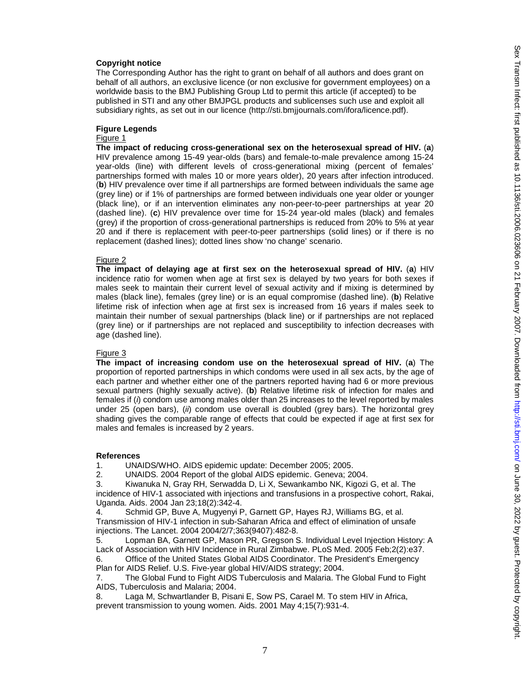# **Copyright notice**

The Corresponding Author has the right to grant on behalf of all authors and does grant on behalf of all authors, an exclusive licence (or non exclusive for government employees) on a worldwide basis to the BMJ Publishing Group Ltd to permit this article (if accepted) to be published in STI and any other BMJPGL products and sublicenses such use and exploit all subsidiary rights, as set out in our licence (http://sti.bmjjournals.com/ifora/licence.pdf).

# **Figure Legends**

# Figure 1

**The impact of reducing cross-generational sex on the heterosexual spread of HIV.** (**a**) HIV prevalence among 15-49 year-olds (bars) and female-to-male prevalence among 15-24 year-olds (line) with different levels of cross-generational mixing (percent of females' partnerships formed with males 10 or more years older), 20 years after infection introduced. (**b**) HIV prevalence over time if all partnerships are formed between individuals the same age (grey line) or if 1% of partnerships are formed between individuals one year older or younger (black line), or if an intervention eliminates any non-peer-to-peer partnerships at year 20 (dashed line). (**c**) HIV prevalence over time for 15-24 year-old males (black) and females (grey) if the proportion of cross-generational partnerships is reduced from 20% to 5% at year 20 and if there is replacement with peer-to-peer partnerships (solid lines) or if there is no replacement (dashed lines); dotted lines show 'no change' scenario.

#### Figure 2

**The impact of delaying age at first sex on the heterosexual spread of HIV.** (**a**) HIV incidence ratio for women when age at first sex is delayed by two years for both sexes if males seek to maintain their current level of sexual activity and if mixing is determined by males (black line), females (grey line) or is an equal compromise (dashed line). (**b**) Relative lifetime risk of infection when age at first sex is increased from 16 years if males seek to maintain their number of sexual partnerships (black line) or if partnerships are not replaced (grey line) or if partnerships are not replaced and susceptibility to infection decreases with age (dashed line).

#### Figure 3

**The impact of increasing condom use on the heterosexual spread of HIV.** (**a**) The proportion of reported partnerships in which condoms were used in all sex acts, by the age of each partner and whether either one of the partners reported having had 6 or more previous sexual partners (highly sexually active). (**b**) Relative lifetime risk of infection for males and females if (*i*) condom use among males older than 25 increases to the level reported by males under 25 (open bars), (*ii*) condom use overall is doubled (grey bars). The horizontal grey shading gives the comparable range of effects that could be expected if age at first sex for males and females is increased by 2 years.

#### **References**

1. UNAIDS/WHO. AIDS epidemic update: December 2005; 2005.

2. UNAIDS. 2004 Report of the global AIDS epidemic. Geneva; 2004.

3. Kiwanuka N, Gray RH, Serwadda D, Li X, Sewankambo NK, Kigozi G, et al. The incidence of HIV-1 associated with injections and transfusions in a prospective cohort, Rakai, Uganda. Aids. 2004 Jan 23;18(2):342-4.

4. Schmid GP, Buve A, Mugyenyi P, Garnett GP, Hayes RJ, Williams BG, et al. Transmission of HIV-1 infection in sub-Saharan Africa and effect of elimination of unsafe injections. The Lancet. 2004 2004/2/7;363(9407):482-8.

5. Lopman BA, Garnett GP, Mason PR, Gregson S. Individual Level Injection History: A Lack of Association with HIV Incidence in Rural Zimbabwe. PLoS Med. 2005 Feb;2(2):e37.

6. Office of the United States Global AIDS Coordinator. The President's Emergency Plan for AIDS Relief. U.S. Five-year global HIV/AIDS strategy; 2004.

7. The Global Fund to Fight AIDS Tuberculosis and Malaria. The Global Fund to Fight AIDS, Tuberculosis and Malaria; 2004.

8. Laga M, Schwartlander B, Pisani E, Sow PS, Carael M. To stem HIV in Africa, prevent transmission to young women. Aids. 2001 May 4;15(7):931-4.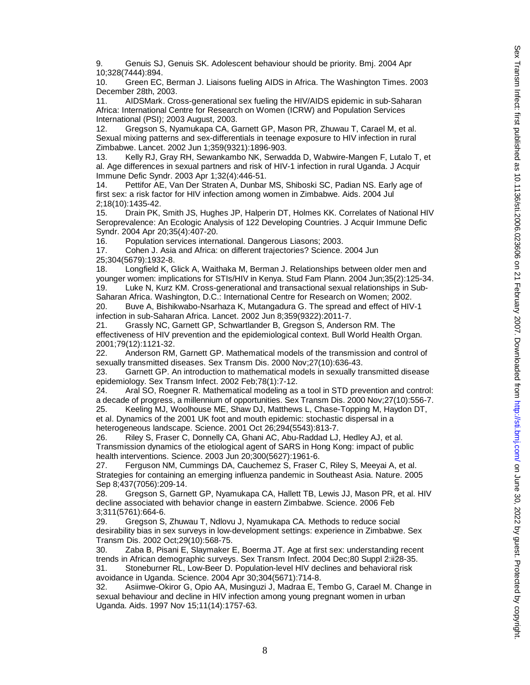9. Genuis SJ, Genuis SK. Adolescent behaviour should be priority. Bmj. 2004 Apr 10;328(7444):894.

10. Green EC, Berman J. Liaisons fueling AIDS in Africa. The Washington Times. 2003 December 28th, 2003.

11. AIDSMark. Cross-generational sex fueling the HIV/AIDS epidemic in sub-Saharan Africa: International Centre for Research on Women (ICRW) and Population Services International (PSI); 2003 August, 2003.

12. Gregson S, Nyamukapa CA, Garnett GP, Mason PR, Zhuwau T, Carael M, et al. Sexual mixing patterns and sex-differentials in teenage exposure to HIV infection in rural Zimbabwe. Lancet. 2002 Jun 1;359(9321):1896-903.

13. Kelly RJ, Gray RH, Sewankambo NK, Serwadda D, Wabwire-Mangen F, Lutalo T, et al. Age differences in sexual partners and risk of HIV-1 infection in rural Uganda. J Acquir Immune Defic Syndr. 2003 Apr 1;32(4):446-51.

14. Pettifor AE, Van Der Straten A, Dunbar MS, Shiboski SC, Padian NS. Early age of first sex: a risk factor for HIV infection among women in Zimbabwe. Aids. 2004 Jul 2;18(10):1435-42.

15. Drain PK, Smith JS, Hughes JP, Halperin DT, Holmes KK. Correlates of National HIV Seroprevalence: An Ecologic Analysis of 122 Developing Countries. J Acquir Immune Defic Syndr. 2004 Apr 20;35(4):407-20.

16. Population services international. Dangerous Liasons; 2003.

17. Cohen J. Asia and Africa: on different trajectories? Science. 2004 Jun 25;304(5679):1932-8.

18. Longfield K, Glick A, Waithaka M, Berman J. Relationships between older men and younger women: implications for STIs/HIV in Kenya. Stud Fam Plann. 2004 Jun;35(2):125-34. 19. Luke N, Kurz KM. Cross-generational and transactional sexual relationships in Sub-

Saharan Africa. Washington, D.C.: International Centre for Research on Women; 2002. 20. Buve A, Bishikwabo-Nsarhaza K, Mutangadura G. The spread and effect of HIV-1

infection in sub-Saharan Africa. Lancet. 2002 Jun 8;359(9322):2011-7.

21. Grassly NC, Garnett GP, Schwartlander B, Gregson S, Anderson RM. The effectiveness of HIV prevention and the epidemiological context. Bull World Health Organ. 2001;79(12):1121-32.

22. Anderson RM, Garnett GP. Mathematical models of the transmission and control of sexually transmitted diseases. Sex Transm Dis. 2000 Nov;27(10):636-43.

23. Garnett GP. An introduction to mathematical models in sexually transmitted disease epidemiology. Sex Transm Infect. 2002 Feb;78(1):7-12.

24. Aral SO, Roegner R. Mathematical modeling as a tool in STD prevention and control: a decade of progress, a millennium of opportunities. Sex Transm Dis. 2000 Nov;27(10):556-7.

25. Keeling MJ, Woolhouse ME, Shaw DJ, Matthews L, Chase-Topping M, Haydon DT, et al. Dynamics of the 2001 UK foot and mouth epidemic: stochastic dispersal in a heterogeneous landscape. Science. 2001 Oct 26;294(5543):813-7.

26. Riley S, Fraser C, Donnelly CA, Ghani AC, Abu-Raddad LJ, Hedley AJ, et al. Transmission dynamics of the etiological agent of SARS in Hong Kong: impact of public health interventions. Science. 2003 Jun 20;300(5627):1961-6.

27. Ferguson NM, Cummings DA, Cauchemez S, Fraser C, Riley S, Meeyai A, et al. Strategies for containing an emerging influenza pandemic in Southeast Asia. Nature. 2005 Sep 8;437(7056):209-14.

28. Gregson S, Garnett GP, Nyamukapa CA, Hallett TB, Lewis JJ, Mason PR, et al. HIV decline associated with behavior change in eastern Zimbabwe. Science. 2006 Feb 3;311(5761):664-6.

29. Gregson S, Zhuwau T, Ndlovu J, Nyamukapa CA. Methods to reduce social desirability bias in sex surveys in low-development settings: experience in Zimbabwe. Sex Transm Dis. 2002 Oct;29(10):568-75.

30. Zaba B, Pisani E, Slaymaker E, Boerma JT. Age at first sex: understanding recent trends in African demographic surveys. Sex Transm Infect. 2004 Dec;80 Suppl 2:ii28-35. 31. Stoneburner RL, Low-Beer D. Population-level HIV declines and behavioral risk

avoidance in Uganda. Science. 2004 Apr 30;304(5671):714-8.

32. Asiimwe-Okiror G, Opio AA, Musinguzi J, Madraa E, Tembo G, Carael M. Change in sexual behaviour and decline in HIV infection among young pregnant women in urban Uganda. Aids. 1997 Nov 15;11(14):1757-63.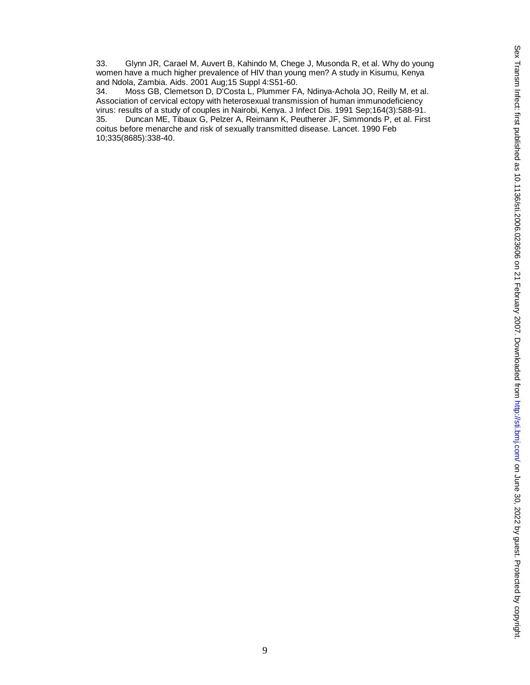33. Glynn JR, Carael M, Auvert B, Kahindo M, Chege J, Musonda R, et al. Why do young women have a much higher prevalence of HIV than young men? A study in Kisumu, Kenya and Ndola, Zambia. Aids. 2001 Aug;15 Suppl 4:S51-60.

34. Moss GB, Clemetson D, D'Costa L, Plummer FA, Ndinya-Achola JO, Reilly M, et al. Association of cervical ectopy with heterosexual transmission of human immunodeficiency virus: results of a study of couples in Nairobi, Kenya. J Infect Dis. 1991 Sep;164(3):588-91.<br>35. Duncan ME, Tibaux G, Pelzer A, Reimann K, Peutherer JF, Simmonds P, et al. Firs 35. Duncan ME, Tibaux G, Pelzer A, Reimann K, Peutherer JF, Simmonds P, et al. First coitus before menarche and risk of sexually transmitted disease. Lancet. 1990 Feb 10;335(8685):338-40.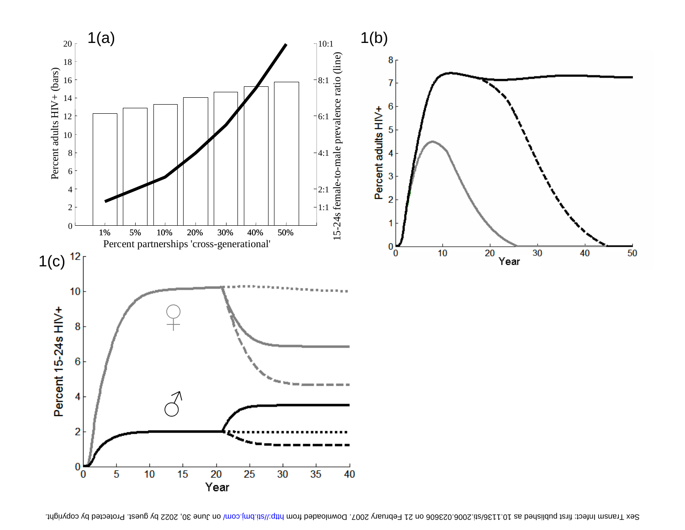

Sex Transm Infect: first bediened as 10.1136/sti.2002. Doming Auguest. Pownloaded from http://sti.bm/ on June 30, 2022 by guest. Protected by copyright.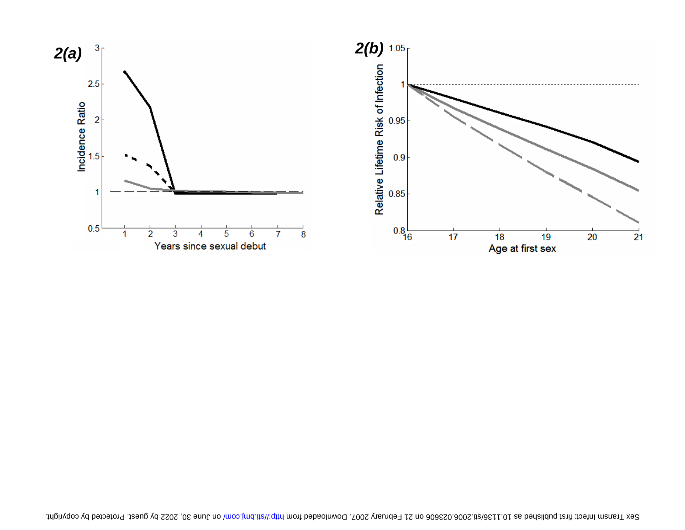